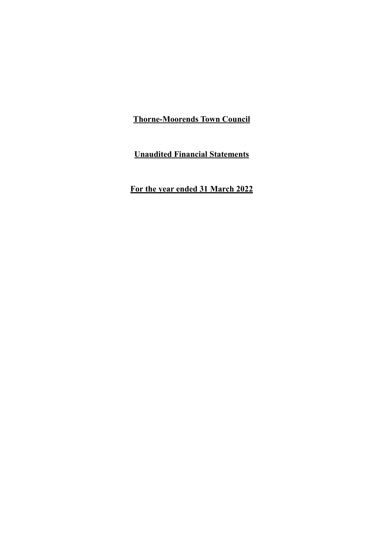**Unaudited Financial Statements**

**For the year ended 31 March 2022**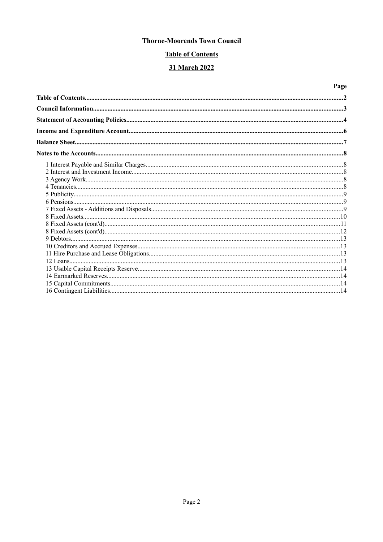# **Table of Contents**

# 31 March 2022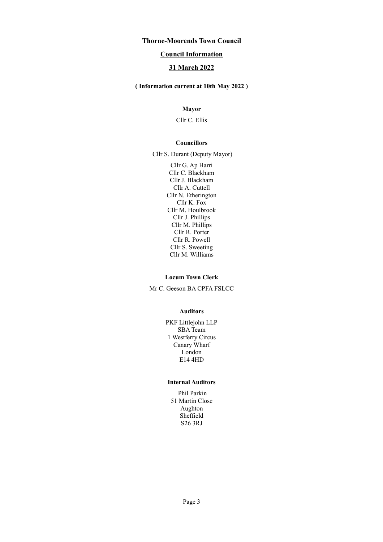### **Council Information**

## **31 March 2022**

**( Information current at 10th May 2022 )**

### **Mayor**

Cllr C. Ellis

#### **Councillors**

Cllr S. Durant (Deputy Mayor)

Cllr G. Ap Harri Cllr C. Blackham Cllr J. Blackham Cllr A. Cuttell Cllr N. Etherington Cllr K. Fox Cllr M. Houlbrook Cllr J. Phillips Cllr M. Phillips Cllr R. Porter Cllr R. Powell Cllr S. Sweeting Cllr M. Williams

#### **Locum Town Clerk**

Mr C. Geeson BA CPFA FSLCC

#### **Auditors**

PKF Littlejohn LLP SBA Team 1 Westferry Circus Canary Wharf London E14 4HD

### **Internal Auditors**

Phil Parkin 51 Martin Close Aughton Sheffield S26 3RJ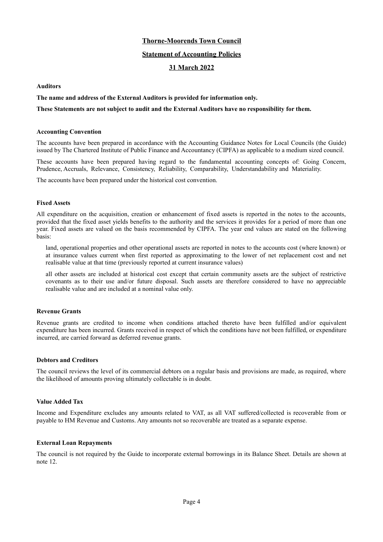#### **Statement of Accounting Policies**

### **31 March 2022**

#### **Auditors**

#### **The name and address of the External Auditors is provided for information only.**

#### **These Statements are not subject to audit and the External Auditors have no responsibility for them.**

#### **Accounting Convention**

The accounts have been prepared in accordance with the Accounting Guidance Notes for Local Councils (the Guide) issued by The Chartered Institute of Public Finance and Accountancy (CIPFA) as applicable to a medium sized council.

These accounts have been prepared having regard to the fundamental accounting concepts of: Going Concern, Prudence, Accruals, Relevance, Consistency, Reliability, Comparability, Understandability and Materiality.

The accounts have been prepared under the historical cost convention.

#### **Fixed Assets**

All expenditure on the acquisition, creation or enhancement of fixed assets is reported in the notes to the accounts, provided that the fixed asset yields benefits to the authority and the services it provides for a period of more than one year. Fixed assets are valued on the basis recommended by CIPFA. The year end values are stated on the following basis:

land, operational properties and other operational assets are reported in notes to the accounts cost (where known) or at insurance values current when first reported as approximating to the lower of net replacement cost and net realisable value at that time (previously reported at current insurance values)

all other assets are included at historical cost except that certain community assets are the subject of restrictive covenants as to their use and/or future disposal. Such assets are therefore considered to have no appreciable realisable value and are included at a nominal value only.

#### **Revenue Grants**

Revenue grants are credited to income when conditions attached thereto have been fulfilled and/or equivalent expenditure has been incurred. Grants received in respect of which the conditions have not been fulfilled, or expenditure incurred, are carried forward as deferred revenue grants.

#### **Debtors and Creditors**

The council reviews the level of its commercial debtors on a regular basis and provisions are made, as required, where the likelihood of amounts proving ultimately collectable is in doubt.

#### **Value Added Tax**

Income and Expenditure excludes any amounts related to VAT, as all VAT suffered/collected is recoverable from or payable to HM Revenue and Customs. Any amounts not so recoverable are treated as a separate expense.

#### **External Loan Repayments**

The council is not required by the Guide to incorporate external borrowings in its Balance Sheet. Details are shown at note 12.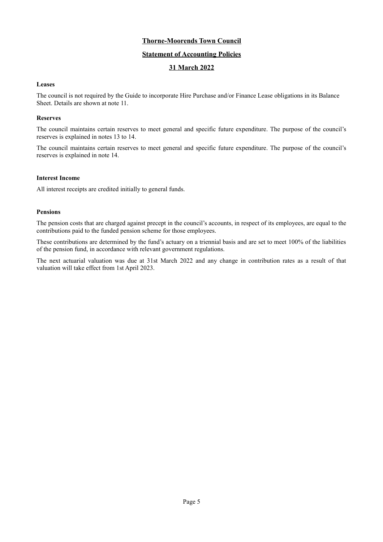### **Statement of Accounting Policies**

## **31 March 2022**

#### **Leases**

The council is not required by the Guide to incorporate Hire Purchase and/or Finance Lease obligations in its Balance Sheet. Details are shown at note 11.

#### **Reserves**

The council maintains certain reserves to meet general and specific future expenditure. The purpose of the council's reserves is explained in notes 13 to 14.

The council maintains certain reserves to meet general and specific future expenditure. The purpose of the council's reserves is explained in note 14.

#### **Interest Income**

All interest receipts are credited initially to general funds.

#### **Pensions**

The pension costs that are charged against precept in the council's accounts, in respect of its employees, are equal to the contributions paid to the funded pension scheme for those employees.

These contributions are determined by the fund's actuary on a triennial basis and are set to meet 100% of the liabilities of the pension fund, in accordance with relevant government regulations.

The next actuarial valuation was due at 31st March 2022 and any change in contribution rates as a result of that valuation will take effect from 1st April 2023.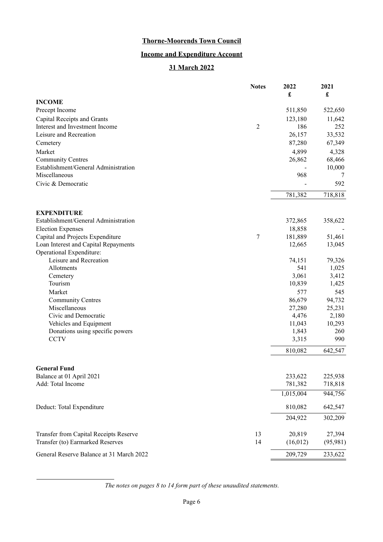# **Income and Expenditure Account**

# **31 March 2022**

|                                                    | <b>Notes</b>   | 2022<br>£     | 2021<br>£       |
|----------------------------------------------------|----------------|---------------|-----------------|
| <b>INCOME</b>                                      |                |               |                 |
| Precept Income                                     |                | 511,850       | 522,650         |
| Capital Receipts and Grants                        |                | 123,180       | 11,642          |
| Interest and Investment Income                     | $\overline{c}$ | 186           | 252             |
| Leisure and Recreation                             |                | 26,157        | 33,532          |
| Cemetery                                           |                | 87,280        | 67,349          |
| Market                                             |                | 4,899         | 4,328           |
| <b>Community Centres</b>                           |                | 26,862        | 68,466          |
| Establishment/General Administration               |                |               | 10,000          |
| Miscellaneous                                      |                | 968           | 7               |
| Civic & Democratic                                 |                |               | 592             |
|                                                    |                | 781,382       | 718,818         |
|                                                    |                |               |                 |
| <b>EXPENDITURE</b>                                 |                |               |                 |
| Establishment/General Administration               |                | 372,865       | 358,622         |
| <b>Election Expenses</b>                           |                | 18,858        |                 |
| Capital and Projects Expenditure                   | 7              | 181,889       | 51,461          |
| Loan Interest and Capital Repayments               |                | 12,665        | 13,045          |
| Operational Expenditure:<br>Leisure and Recreation |                |               |                 |
|                                                    |                | 74,151<br>541 | 79,326<br>1,025 |
| Allotments<br>Cemetery                             |                | 3,061         | 3,412           |
| Tourism                                            |                | 10,839        | 1,425           |
| Market                                             |                | 577           | 545             |
| <b>Community Centres</b>                           |                | 86,679        | 94,732          |
| Miscellaneous                                      |                | 27,280        | 25,231          |
| Civic and Democratic                               |                | 4,476         | 2,180           |
| Vehicles and Equipment                             |                | 11,043        | 10,293          |
| Donations using specific powers                    |                | 1,843         | 260             |
| <b>CCTV</b>                                        |                | 3,315         | 990             |
|                                                    |                | 810,082       | 642,547         |
|                                                    |                |               |                 |
| <b>General Fund</b>                                |                |               |                 |
| Balance at 01 April 2021                           |                | 233,622       | 225,938         |
| Add: Total Income                                  |                | 781,382       | 718,818         |
|                                                    |                | 1,015,004     | 944,756         |
| Deduct: Total Expenditure                          |                | 810,082       | 642,547         |
|                                                    |                | 204,922       | 302,209         |
| Transfer from Capital Receipts Reserve             | 13             | 20,819        | 27,394          |
| Transfer (to) Earmarked Reserves                   | 14             | (16,012)      | (95, 981)       |
| General Reserve Balance at 31 March 2022           |                | 209,729       | 233,622         |

*The notes on pages [8](#page-7-0) to [14](#page-13-0) form part of these unaudited statements.*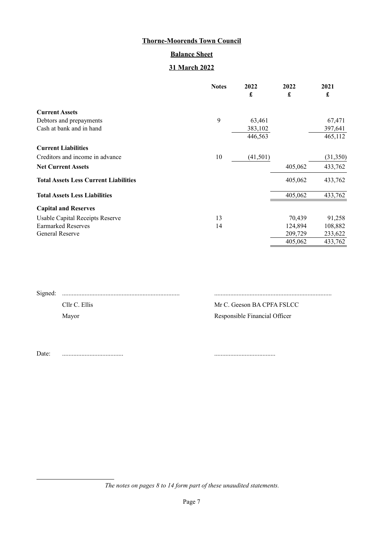# **Balance Sheet**

# **31 March 2022**

|                                              | <b>Notes</b> | 2022                 | 2022                 | 2021     |
|----------------------------------------------|--------------|----------------------|----------------------|----------|
|                                              |              | $\pmb{\mathfrak{L}}$ | $\pmb{\mathfrak{L}}$ | £        |
| <b>Current Assets</b>                        |              |                      |                      |          |
| Debtors and prepayments                      | 9            | 63,461               |                      | 67,471   |
| Cash at bank and in hand                     |              | 383,102              |                      | 397,641  |
|                                              |              | 446,563              |                      | 465,112  |
| <b>Current Liabilities</b>                   |              |                      |                      |          |
| Creditors and income in advance              | 10           | (41,501)             |                      | (31,350) |
| <b>Net Current Assets</b>                    |              |                      | 405,062              | 433,762  |
| <b>Total Assets Less Current Liabilities</b> |              |                      | 405,062              | 433,762  |
| <b>Total Assets Less Liabilities</b>         |              |                      | 405,062              | 433,762  |
| <b>Capital and Reserves</b>                  |              |                      |                      |          |
| Usable Capital Receipts Reserve              | 13           |                      | 70,439               | 91,258   |
| <b>Earmarked Reserves</b>                    | 14           |                      | 124,894              | 108,882  |
| <b>General Reserve</b>                       |              |                      | 209,729              | 233,622  |
|                                              |              |                      | 405,062              | 433,762  |

| Cllr C. Ellis | Mr C. Geeson BA CPFA FSLCC    |
|---------------|-------------------------------|
| Mayor         | Responsible Financial Officer |

Date: ...................................... ......................................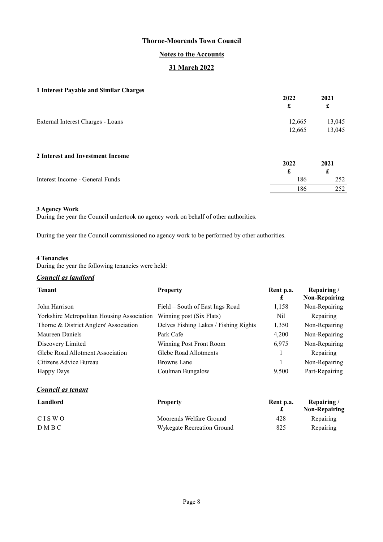## **Notes to the Accounts**

## **31 March 2022**

### <span id="page-7-0"></span>**1 Interest Payable and Similar Charges**

| $\cdot$<br>o                      | 2022<br>£            | 2021<br>£            |
|-----------------------------------|----------------------|----------------------|
| External Interest Charges - Loans | 12,665               | 13,045               |
|                                   | 12,665               | 13,045               |
| 2 Interest and Investment Income  | 2022<br>$\mathbf{r}$ | 2021<br>$\mathbf{r}$ |

| Interest Income - General Funds | 86  |  |
|---------------------------------|-----|--|
|                                 | -86 |  |

#### **3 Agency Work**

During the year the Council undertook no agency work on behalf of other authorities.

During the year the Council commissioned no agency work to be performed by other authorities.

#### **4 Tenancies**

During the year the following tenancies were held:

### *Council as landlord*

| <b>Tenant</b>                              | <b>Property</b>                       | Rent p.a.<br>£            | Repairing/<br><b>Non-Repairing</b>     |
|--------------------------------------------|---------------------------------------|---------------------------|----------------------------------------|
| John Harrison                              | Field – South of East Ings Road       | 1,158                     | Non-Repairing                          |
| Yorkshire Metropolitan Housing Association | Winning post (Six Flats)              | Nil                       | Repairing                              |
| Thorne & District Anglers' Association     | Delves Fishing Lakes / Fishing Rights | 1,350                     | Non-Repairing                          |
| Maureen Daniels                            | Park Cafe                             | 4,200                     | Non-Repairing                          |
| Discovery Limited                          | Winning Post Front Room               | 6,975                     | Non-Repairing                          |
| Glebe Road Allotment Association           | Glebe Road Allotments                 |                           | Repairing                              |
| Citizens Advice Bureau                     | <b>Browns Lane</b>                    |                           | Non-Repairing                          |
| <b>Happy Days</b>                          | Coulman Bungalow                      | 9,500                     | Part-Repairing                         |
| <b>Council as tenant</b>                   |                                       |                           |                                        |
| Landlord                                   | <b>Property</b>                       | Rent p.a.<br>$\mathbf{r}$ | Repairing/<br>$N_{\rm{max}}$ Denoted a |

|              |                            |     | <b>Non-Repairing</b> |
|--------------|----------------------------|-----|----------------------|
| <b>CISWO</b> | Moorends Welfare Ground    | 428 | Repairing            |
| DMBC         | Wykegate Recreation Ground | 825 | Repairing            |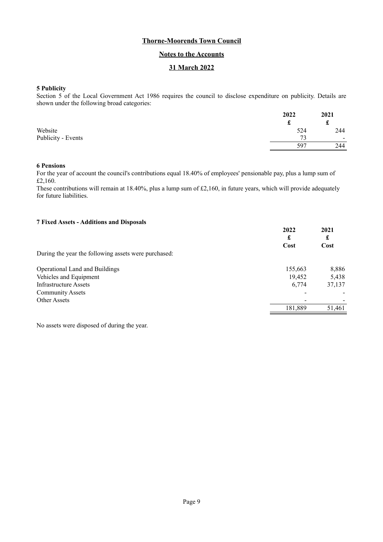### **Notes to the Accounts**

## **31 March 2022**

#### **5 Publicity**

Section 5 of the Local Government Act 1986 requires the council to disclose expenditure on publicity. Details are shown under the following broad categories:

|                    | 2022 | 2021                     |
|--------------------|------|--------------------------|
|                    | ىق   | e<br>t                   |
| Website            | 524  | 244                      |
| Publicity - Events | 73   | $\overline{\phantom{a}}$ |
|                    | 597  | 244                      |

#### **6 Pensions**

For the year of account the council's contributions equal 18.40% of employees' pensionable pay, plus a lump sum of £2,160.

These contributions will remain at 18.40%, plus a lump sum of £2,160, in future years, which will provide adequately for future liabilities.

### **7 Fixed Assets - Additions and Disposals**

|                                                      | 2022<br>£ | 2021<br>£ |
|------------------------------------------------------|-----------|-----------|
|                                                      | Cost      | Cost      |
| During the year the following assets were purchased: |           |           |
| Operational Land and Buildings                       | 155,663   | 8,886     |
| Vehicles and Equipment                               | 19,452    | 5,438     |
| Infrastructure Assets                                | 6,774     | 37,137    |
| <b>Community Assets</b>                              |           |           |
| Other Assets                                         |           |           |
|                                                      | 181,889   | 51,461    |

No assets were disposed of during the year.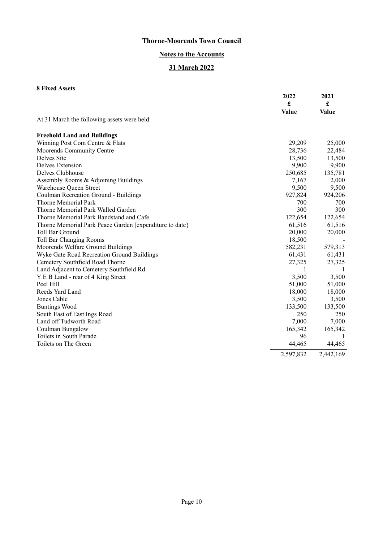# **Notes to the Accounts**

# **31 March 2022**

# **8 Fixed Assets**

|                                                         | 2022<br>£<br>Value | 2021<br>£<br><b>Value</b> |
|---------------------------------------------------------|--------------------|---------------------------|
| At 31 March the following assets were held:             |                    |                           |
| <b>Freehold Land and Buildings</b>                      |                    |                           |
| Winning Post Com Centre & Flats                         | 29,209             | 25,000                    |
| Moorends Community Centre                               | 28,736             | 22,484                    |
| Delves Site                                             | 13,500             | 13,500                    |
| <b>Delves Extension</b>                                 | 9,900              | 9,900                     |
| Delves Clubhouse                                        | 250,685            | 135,781                   |
| Assembly Rooms & Adjoining Buildings                    | 7,167              | 2,000                     |
| Warehouse Queen Street                                  | 9,500              | 9,500                     |
| Coulman Recreation Ground - Buildings                   | 927,824            | 924,206                   |
| <b>Thorne Memorial Park</b>                             | 700                | 700                       |
| Thorne Memorial Park Walled Garden                      | 300                | 300                       |
| Thorne Memorial Park Bandstand and Cafe                 | 122,654            | 122,654                   |
| Thorne Memorial Park Peace Garden [expenditure to date} | 61,516             | 61,516                    |
| Toll Bar Ground                                         | 20,000             | 20,000                    |
| <b>Toll Bar Changing Rooms</b>                          | 18,500             |                           |
| Moorends Welfare Ground Buildings                       | 582,231            | 579,313                   |
| Wyke Gate Road Recreation Ground Buildings              | 61,431             | 61,431                    |
| Cemetery Southfield Road Thorne                         | 27,325             | 27,325                    |
| Land Adjacent to Cemetery Southfield Rd                 | 1                  | $\perp$                   |
| Y E B Land - rear of 4 King Street                      | 3,500              | 3,500                     |
| Peel Hill                                               | 51,000             | 51,000                    |
| Reeds Yard Land                                         | 18,000             | 18,000                    |
| Jones Cable                                             | 3,500              | 3,500                     |
| <b>Buntings Wood</b>                                    | 133,500            | 133,500                   |
| South East of East Ings Road                            | 250                | 250                       |
| Land off Tudworth Road                                  | 7,000              | 7,000                     |
| Coulman Bungalow                                        | 165,342            | 165,342                   |
| Toilets in South Parade                                 | 96                 |                           |
| Toilets on The Green                                    | 44,465             | 44,465                    |
|                                                         | 2,597,832          | 2,442,169                 |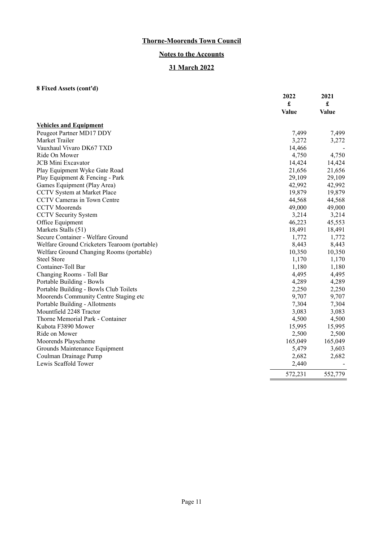# **Notes to the Accounts**

# **31 March 2022**

# **8 Fixed Assets (cont'd)**

|                                              | 2022<br>£<br><b>Value</b> | 2021<br>£<br><b>Value</b> |
|----------------------------------------------|---------------------------|---------------------------|
| <b>Vehicles and Equipment</b>                |                           |                           |
| Peugeot Partner MD17 DDY                     | 7,499                     | 7,499                     |
| Market Trailer                               | 3,272                     | 3,272                     |
| Vauxhaul Vivaro DK67 TXD                     | 14,466                    |                           |
| Ride On Mower                                | 4,750                     | 4,750                     |
| <b>JCB</b> Mini Excavator                    | 14,424                    | 14,424                    |
| Play Equipment Wyke Gate Road                | 21,656                    | 21,656                    |
| Play Equipment & Fencing - Park              | 29,109                    | 29,109                    |
| Games Equipment (Play Area)                  | 42,992                    | 42,992                    |
| CCTV System at Market Place                  | 19,879                    | 19,879                    |
| CCTV Cameras in Town Centre                  | 44,568                    | 44,568                    |
| <b>CCTV</b> Moorends                         | 49,000                    | 49,000                    |
| <b>CCTV Security System</b>                  | 3,214                     | 3,214                     |
| Office Equipment                             | 46,223                    | 45,553                    |
| Markets Stalls (51)                          | 18,491                    | 18,491                    |
| Secure Container - Welfare Ground            | 1,772                     | 1,772                     |
| Welfare Ground Cricketers Tearoom (portable) | 8,443                     | 8,443                     |
| Welfare Ground Changing Rooms (portable)     | 10,350                    | 10,350                    |
| <b>Steel Store</b>                           | 1,170                     | 1,170                     |
| Container-Toll Bar                           | 1,180                     | 1,180                     |
| Changing Rooms - Toll Bar                    | 4,495                     | 4,495                     |
| Portable Building - Bowls                    | 4,289                     | 4,289                     |
| Portable Building - Bowls Club Toilets       | 2,250                     | 2,250                     |
| Moorends Community Centre Staging etc        | 9,707                     | 9,707                     |
| Portable Building - Allotments               | 7,304                     | 7,304                     |
| Mountfield 2248 Tractor                      | 3,083                     | 3,083                     |
| Thorne Memorial Park - Container             | 4,500                     | 4,500                     |
| Kubota F3890 Mower                           | 15,995                    | 15,995                    |
| Ride on Mower                                | 2,500                     | 2,500                     |
| Moorends Playscheme                          | 165,049                   | 165,049                   |
| Grounds Maintenance Equipment                | 5,479                     | 3,603                     |
| Coulman Drainage Pump                        | 2,682                     | 2,682                     |
| Lewis Scaffold Tower                         | 2,440                     |                           |
|                                              | 572,231                   | 552,779                   |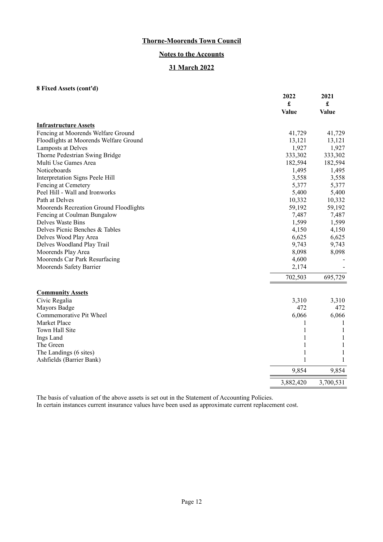## **Notes to the Accounts**

# **31 March 2022**

## **8 Fixed Assets (cont'd)**

|                                        | 2022         | 2021                 |
|----------------------------------------|--------------|----------------------|
|                                        | £            | $\pmb{\mathfrak{L}}$ |
|                                        | <b>Value</b> | <b>Value</b>         |
| <b>Infrastructure Assets</b>           |              |                      |
| Fencing at Moorends Welfare Ground     | 41,729       | 41,729               |
| Floodlights at Moorends Welfare Ground | 13,121       | 13,121               |
| Lamposts at Delves                     | 1,927        | 1,927                |
| Thorne Pedestrian Swing Bridge         | 333,302      | 333,302              |
| Multi Use Games Area                   | 182,594      | 182,594              |
| Noticeboards                           | 1,495        | 1,495                |
| Interpretation Signs Peele Hill        | 3,558        | 3,558                |
| Fencing at Cemetery                    | 5,377        | 5,377                |
| Peel Hill - Wall and Ironworks         | 5,400        | 5,400                |
| Path at Delves                         | 10,332       | 10,332               |
| Moorends Recreation Ground Floodlights | 59,192       | 59,192               |
| Fencing at Coulman Bungalow            | 7,487        | 7,487                |
| Delves Waste Bins                      | 1,599        | 1,599                |
| Delves Picnic Benches & Tables         | 4,150        | 4,150                |
| Delves Wood Play Area                  | 6,625        | 6,625                |
| Delves Woodland Play Trail             | 9,743        | 9,743                |
| Moorends Play Area                     | 8,098        | 8,098                |
| Moorends Car Park Resurfacing          | 4,600        |                      |
| Moorends Safety Barrier                | 2,174        |                      |
|                                        | 702,503      | 695,729              |
| <b>Community Assets</b>                |              |                      |
| Civic Regalia                          | 3,310        | 3,310                |
| Mayors Badge                           | 472          | 472                  |
| Commemorative Pit Wheel                | 6,066        | 6,066                |
| Market Place                           | 1            | 1                    |
| Town Hall Site                         | 1            | 1                    |
| Ings Land                              | 1            | 1                    |
| The Green                              | 1            | 1                    |
| The Landings (6 sites)                 | 1            | 1                    |
| Ashfields (Barrier Bank)               | 1            | 1                    |
|                                        | 9,854        | 9,854                |
|                                        | 3,882,420    | 3,700,531            |

The basis of valuation of the above assets is set out in the Statement of Accounting Policies. In certain instances current insurance values have been used as approximate current replacement cost.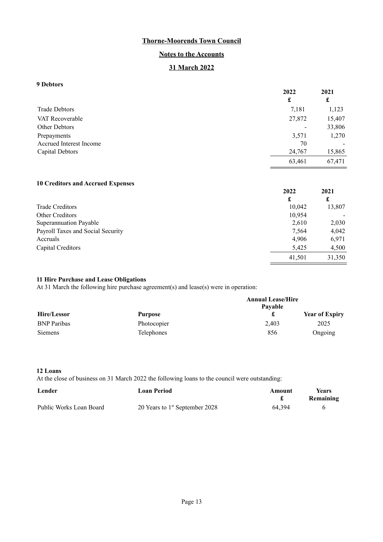## **Notes to the Accounts**

# **31 March 2022**

## **9 Debtors**

|                         | 2022   | 2021   |
|-------------------------|--------|--------|
|                         | £      | £      |
| <b>Trade Debtors</b>    | 7,181  | 1,123  |
| VAT Recoverable         | 27,872 | 15,407 |
| Other Debtors           |        | 33,806 |
| Prepayments             | 3,571  | 1,270  |
| Accrued Interest Income | 70     |        |
| Capital Debtors         | 24,767 | 15,865 |
|                         | 63,461 | 67,471 |

### **10 Creditors and Accrued Expenses**

| 2022   | 2021   |
|--------|--------|
| £      | £      |
| 10,042 | 13,807 |
| 10,954 |        |
| 2,610  | 2,030  |
| 7,564  | 4,042  |
| 4,906  | 6,971  |
| 5,425  | 4,500  |
| 41,501 | 31,350 |
|        |        |

41,501

#### **11 Hire Purchase and Lease Obligations**

At 31 March the following hire purchase agreement(s) and lease(s) were in operation:

|                    |                   | <b>Annual Lease/Hire</b><br>Pavable |                       |  |
|--------------------|-------------------|-------------------------------------|-----------------------|--|
| Hire/Lessor        | <b>Purpose</b>    |                                     | <b>Year of Expiry</b> |  |
| <b>BNP</b> Paribas | Photocopier       | 2.403                               | 2025                  |  |
| Siemens            | <b>Telephones</b> | 856                                 | Ongoing               |  |

#### **12 Loans**

At the close of business on 31 March 2022 the following loans to the council were outstanding:

| Lender                  | <b>Loan Period</b>               | Amount | <b>Years</b><br>Remaining |
|-------------------------|----------------------------------|--------|---------------------------|
| Public Works Loan Board | 20 Years to $1st$ September 2028 | 64.394 |                           |